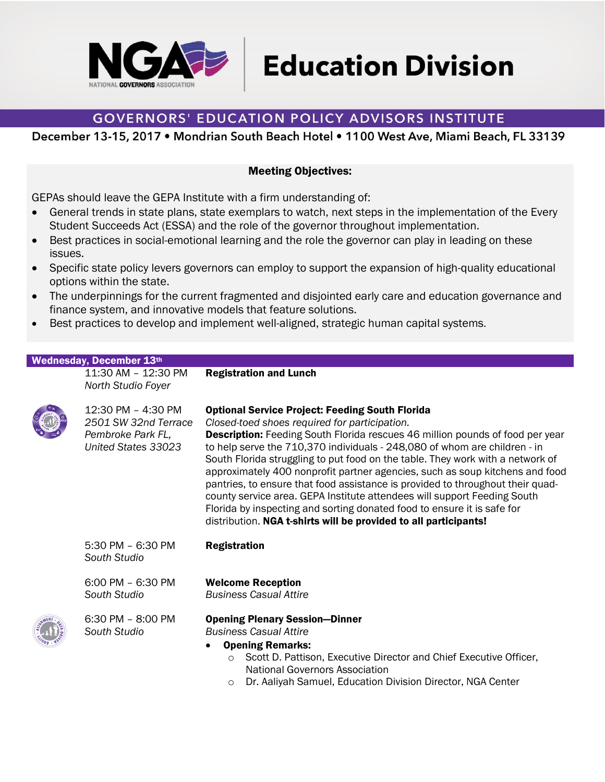

**Education Division** 

## **GOVERNORS' EDUCATION POLICY ADVISORS INSTITUTE**

December 13-15, 2017 . Mondrian South Beach Hotel . 1100 West Ave, Miami Beach, FL 33139

## Meeting Objectives:

GEPAs should leave the GEPA Institute with a firm understanding of:

- General trends in state plans, state exemplars to watch, next steps in the implementation of the Every Student Succeeds Act (ESSA) and the role of the governor throughout implementation.
- Best practices in social-emotional learning and the role the governor can play in leading on these issues.
- Specific state policy levers governors can employ to support the expansion of high-quality educational options within the state.
- The underpinnings for the current fragmented and disjointed early care and education governance and finance system, and innovative models that feature solutions.
- Best practices to develop and implement well-aligned, strategic human capital systems.

Registration and Lunch

## Wednesday, December 13th

11:30 AM – 12:30 PM *North Studio Foyer*



| 12:30 PM - 4:30 PM<br>2501 SW 32nd Terrace<br>Pembroke Park FL,<br>United States 33023 | <b>Optional Service Project: Feeding South Florida</b><br>Closed-toed shoes required for participation.<br><b>Description:</b> Feeding South Florida rescues 46 million pounds of food per year<br>to help serve the 710,370 individuals - 248,080 of whom are children - in<br>South Florida struggling to put food on the table. They work with a network of<br>approximately 400 nonprofit partner agencies, such as soup kitchens and food<br>pantries, to ensure that food assistance is provided to throughout their quad-<br>county service area. GEPA Institute attendees will support Feeding South<br>Florida by inspecting and sorting donated food to ensure it is safe for<br>distribution. NGA t-shirts will be provided to all participants! |
|----------------------------------------------------------------------------------------|-------------------------------------------------------------------------------------------------------------------------------------------------------------------------------------------------------------------------------------------------------------------------------------------------------------------------------------------------------------------------------------------------------------------------------------------------------------------------------------------------------------------------------------------------------------------------------------------------------------------------------------------------------------------------------------------------------------------------------------------------------------|
| $5:30$ PM $-6:30$ PM<br>South Studio                                                   | <b>Registration</b>                                                                                                                                                                                                                                                                                                                                                                                                                                                                                                                                                                                                                                                                                                                                         |
| $6:00$ PM $- 6:30$ PM<br>South Studio                                                  | <b>Welcome Reception</b><br><b>Business Casual Attire</b>                                                                                                                                                                                                                                                                                                                                                                                                                                                                                                                                                                                                                                                                                                   |
| 6:30 PM - 8:00 PM<br>South Studio                                                      | <b>Opening Plenary Session-Dinner</b><br><b>Business Casual Attire</b><br><b>Opening Remarks:</b><br>Scott D. Pattison, Executive Director and Chief Executive Officer,<br>$\circ$<br>National Governors Association                                                                                                                                                                                                                                                                                                                                                                                                                                                                                                                                        |

o Dr. Aaliyah Samuel, Education Division Director, NGA Center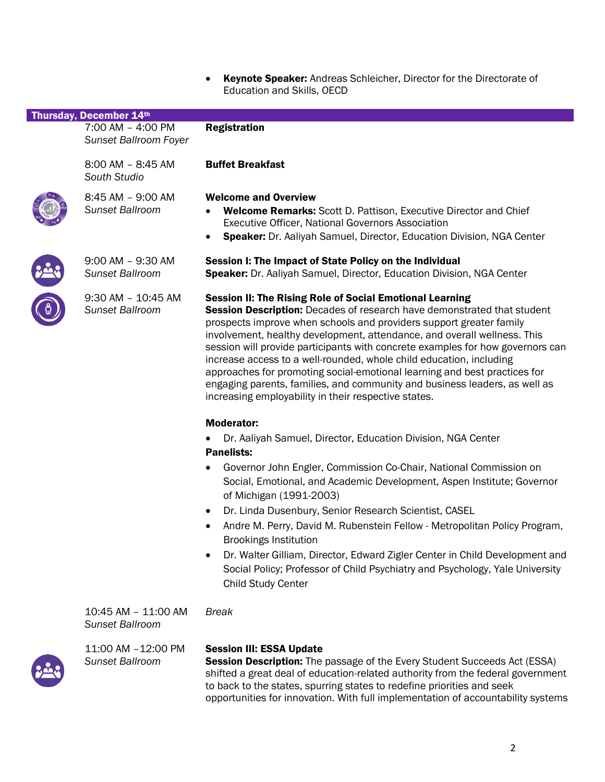• Keynote Speaker: Andreas Schleicher, Director for the Directorate of Education and Skills, OECD

| Thursday, December 14th                    |                                                                                                                                                                                                                                                                                                                                                                                                                                                                                                                                                                                                                                                                                  |
|--------------------------------------------|----------------------------------------------------------------------------------------------------------------------------------------------------------------------------------------------------------------------------------------------------------------------------------------------------------------------------------------------------------------------------------------------------------------------------------------------------------------------------------------------------------------------------------------------------------------------------------------------------------------------------------------------------------------------------------|
| 7:00 AM - 4:00 PM<br>Sunset Ballroom Foyer | <b>Registration</b>                                                                                                                                                                                                                                                                                                                                                                                                                                                                                                                                                                                                                                                              |
| 8:00 AM - 8:45 AM<br>South Studio          | <b>Buffet Breakfast</b>                                                                                                                                                                                                                                                                                                                                                                                                                                                                                                                                                                                                                                                          |
| 8:45 AM - 9:00 AM<br>Sunset Ballroom       | <b>Welcome and Overview</b><br>Welcome Remarks: Scott D. Pattison, Executive Director and Chief<br><b>Executive Officer, National Governors Association</b><br>Speaker: Dr. Aaliyah Samuel, Director, Education Division, NGA Center<br>$\bullet$                                                                                                                                                                                                                                                                                                                                                                                                                                |
| 9:00 AM - 9:30 AM<br>Sunset Ballroom       | Session I: The Impact of State Policy on the Individual<br>Speaker: Dr. Aaliyah Samuel, Director, Education Division, NGA Center                                                                                                                                                                                                                                                                                                                                                                                                                                                                                                                                                 |
| 9:30 AM - 10:45 AM<br>Sunset Ballroom      | <b>Session II: The Rising Role of Social Emotional Learning</b><br><b>Session Description:</b> Decades of research have demonstrated that student<br>prospects improve when schools and providers support greater family<br>involvement, healthy development, attendance, and overall wellness. This<br>session will provide participants with concrete examples for how governors can<br>increase access to a well-rounded, whole child education, including<br>approaches for promoting social-emotional learning and best practices for<br>engaging parents, families, and community and business leaders, as well as<br>increasing employability in their respective states. |
|                                            | <b>Moderator:</b><br>Dr. Aaliyah Samuel, Director, Education Division, NGA Center                                                                                                                                                                                                                                                                                                                                                                                                                                                                                                                                                                                                |
|                                            | <b>Panelists:</b>                                                                                                                                                                                                                                                                                                                                                                                                                                                                                                                                                                                                                                                                |
|                                            | Governor John Engler, Commission Co-Chair, National Commission on<br>Social, Emotional, and Academic Development, Aspen Institute; Governor<br>of Michigan (1991-2003)                                                                                                                                                                                                                                                                                                                                                                                                                                                                                                           |
|                                            | Dr. Linda Dusenbury, Senior Research Scientist, CASEL<br>$\bullet$                                                                                                                                                                                                                                                                                                                                                                                                                                                                                                                                                                                                               |
|                                            | Andre M. Perry, David M. Rubenstein Fellow - Metropolitan Policy Program,<br>$\bullet$<br><b>Brookings Institution</b>                                                                                                                                                                                                                                                                                                                                                                                                                                                                                                                                                           |
|                                            | Dr. Walter Gilliam, Director, Edward Zigler Center in Child Development and<br>Social Policy; Professor of Child Psychiatry and Psychology, Yale University                                                                                                                                                                                                                                                                                                                                                                                                                                                                                                                      |

10:45 AM – 11:00 AM *Sunset Ballroom*

11:00 AM –12:00 PM *Sunset Ballroom*

## Session III: ESSA Update

*Break*

Child Study Center

Session Description: The passage of the Every Student Succeeds Act (ESSA) shifted a great deal of education-related authority from the federal government to back to the states, spurring states to redefine priorities and seek opportunities for innovation. With full implementation of accountability systems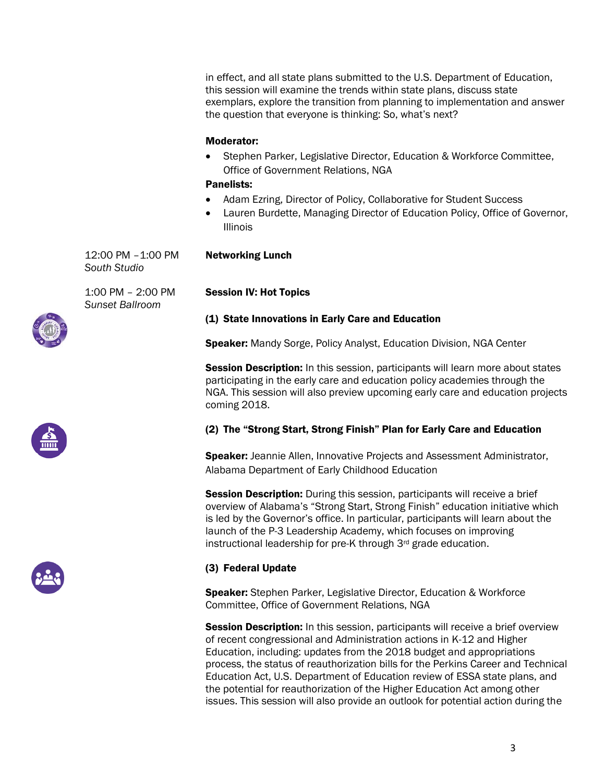in effect, and all state plans submitted to the U.S. Department of Education, this session will examine the trends within state plans, discuss state exemplars, explore the transition from planning to implementation and answer the question that everyone is thinking: So, what's next?

## Moderator:

• Stephen Parker, Legislative Director, Education & Workforce Committee, Office of Government Relations, NGA

## Panelists:

- Adam Ezring, Director of Policy, Collaborative for Student Success
- Lauren Burdette, Managing Director of Education Policy, Office of Governor, Illinois

12:00 PM –1:00 PM *South Studio*

1:00 PM – 2:00 PM *Sunset Ballroom*

# Session IV: Hot Topics

Networking Lunch

## (1) State Innovations in Early Care and Education

**Speaker:** Mandy Sorge, Policy Analyst, Education Division, NGA Center

**Session Description:** In this session, participants will learn more about states participating in the early care and education policy academies through the NGA. This session will also preview upcoming early care and education projects coming 2018.

## (2) The "Strong Start, Strong Finish" Plan for Early Care and Education

Speaker: Jeannie Allen, Innovative Projects and Assessment Administrator, Alabama Department of Early Childhood Education

Session Description: During this session, participants will receive a brief overview of Alabama's "Strong Start, Strong Finish" education initiative which is led by the Governor's office. In particular, participants will learn about the launch of the P-3 Leadership Academy, which focuses on improving instructional leadership for pre-K through 3rd grade education.

## (3) Federal Update

**Speaker:** Stephen Parker, Legislative Director, Education & Workforce Committee, Office of Government Relations, NGA

**Session Description:** In this session, participants will receive a brief overview of recent congressional and Administration actions in K-12 and Higher Education, including: updates from the 2018 budget and appropriations process, the status of reauthorization bills for the Perkins Career and Technical Education Act, U.S. Department of Education review of ESSA state plans, and the potential for reauthorization of the Higher Education Act among other issues. This session will also provide an outlook for potential action during the





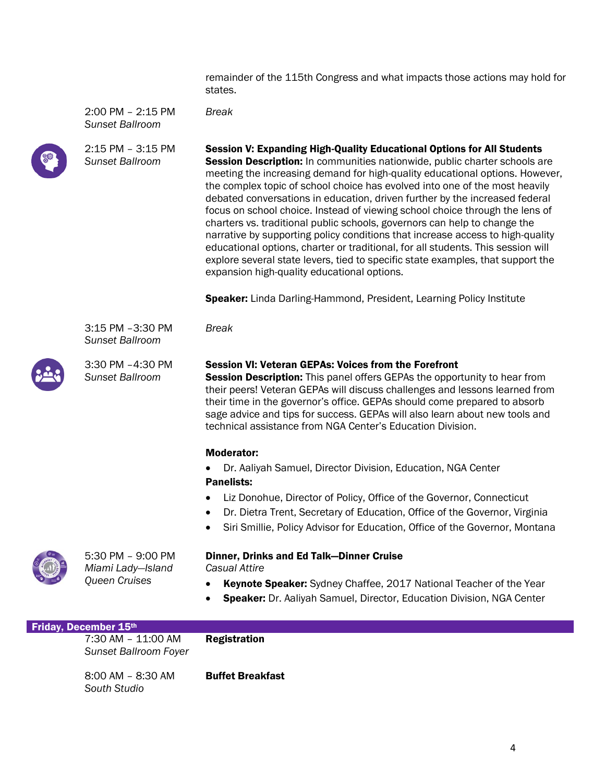remainder of the 115th Congress and what impacts those actions may hold for states.

2:00 PM – 2:15 PM *Sunset Ballroom*

*Break*



2:15 PM – 3:15 PM *Sunset Ballroom*

Session V: Expanding High-Quality Educational Options for All Students **Session Description:** In communities nationwide, public charter schools are meeting the increasing demand for high-quality educational options. However, the complex topic of school choice has evolved into one of the most heavily debated conversations in education, driven further by the increased federal focus on school choice. Instead of viewing school choice through the lens of charters vs. traditional public schools, governors can help to change the narrative by supporting policy conditions that increase access to high-quality educational options, charter or traditional, for all students. This session will explore several state levers, tied to specific state examples, that support the expansion high-quality educational options.

Speaker: Linda Darling-Hammond, President, Learning Policy Institute

3:15 PM –3:30 PM *Sunset Ballroom*



3:30 PM –4:30 PM *Sunset Ballroom*

#### Session VI: Veteran GEPAs: Voices from the Forefront

**Session Description:** This panel offers GEPAs the opportunity to hear from their peers! Veteran GEPAs will discuss challenges and lessons learned from their time in the governor's office. GEPAs should come prepared to absorb sage advice and tips for success. GEPAs will also learn about new tools and technical assistance from NGA Center's Education Division.

#### Moderator:

*Break*

- Dr. Aaliyah Samuel, Director Division, Education, NGA Center Panelists:
- Liz Donohue, Director of Policy, Office of the Governor, Connecticut
- Dr. Dietra Trent, Secretary of Education, Office of the Governor, Virginia
- Siri Smillie, Policy Advisor for Education, Office of the Governor, Montana



5:30 PM – 9:00 PM *Miami Lady—Island Queen Cruises*

#### Dinner, Drinks and Ed Talk—Dinner Cruise *Casual Attire*

- Keynote Speaker: Sydney Chaffee, 2017 National Teacher of the Year
- Speaker: Dr. Aaliyah Samuel, Director, Education Division, NGA Center

| <b>Friday, December 15th</b>                       |                         |
|----------------------------------------------------|-------------------------|
| 7:30 AM – 11:00 AM<br><b>Sunset Ballroom Foyer</b> | <b>Registration</b>     |
| $8:00$ AM – $8:30$ AM<br>South Studio              | <b>Buffet Breakfast</b> |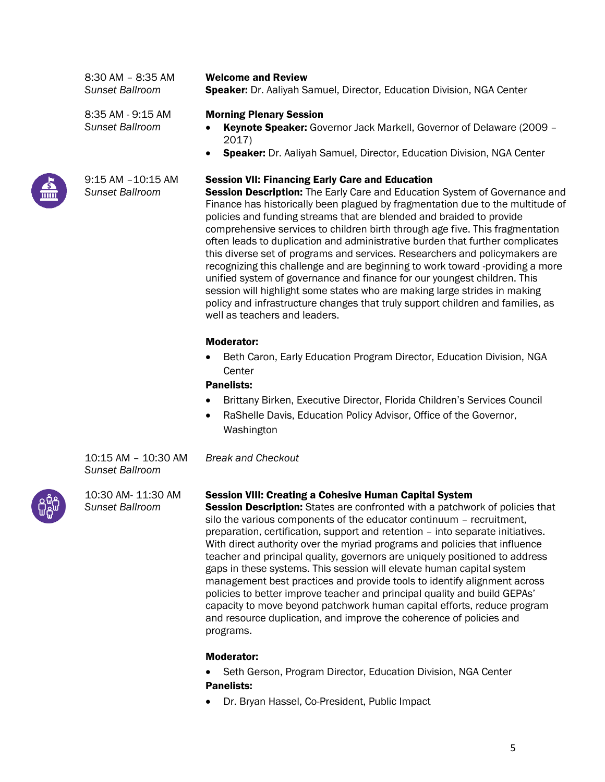8:30 AM – 8:35 AM *Sunset Ballroom*

Welcome and Review

Speaker: Dr. Aaliyah Samuel, Director, Education Division, NGA Center

8:35 AM - 9:15 AM *Sunset Ballroom*



9:15 AM –10:15 AM *Sunset Ballroom*

- Morning Plenary Session
- Keynote Speaker: Governor Jack Markell, Governor of Delaware (2009 2017)
- Speaker: Dr. Aaliyah Samuel, Director, Education Division, NGA Center

## Session VII: Financing Early Care and Education

**Session Description:** The Early Care and Education System of Governance and Finance has historically been plagued by fragmentation due to the multitude of policies and funding streams that are blended and braided to provide comprehensive services to children birth through age five. This fragmentation often leads to duplication and administrative burden that further complicates this diverse set of programs and services. Researchers and policymakers are recognizing this challenge and are beginning to work toward -providing a more unified system of governance and finance for our youngest children. This session will highlight some states who are making large strides in making policy and infrastructure changes that truly support children and families, as well as teachers and leaders.

## Moderator:

• Beth Caron, Early Education Program Director, Education Division, NGA **Center** 

## Panelists:

*Break and Checkout*

- Brittany Birken, Executive Director, Florida Children's Services Council
- RaShelle Davis, Education Policy Advisor, Office of the Governor, Washington

10:15 AM – 10:30 AM *Sunset Ballroom*

10:30 AM- 11:30 AM *Sunset Ballroom*

## Session VIII: Creating a Cohesive Human Capital System

Session Description: States are confronted with a patchwork of policies that silo the various components of the educator continuum – recruitment, preparation, certification, support and retention – into separate initiatives. With direct authority over the myriad programs and policies that influence teacher and principal quality, governors are uniquely positioned to address gaps in these systems. This session will elevate human capital system management best practices and provide tools to identify alignment across policies to better improve teacher and principal quality and build GEPAs' capacity to move beyond patchwork human capital efforts, reduce program and resource duplication, and improve the coherence of policies and programs.

## Moderator:

- Seth Gerson, Program Director, Education Division, NGA Center Panelists:
- Dr. Bryan Hassel, Co-President, Public Impact